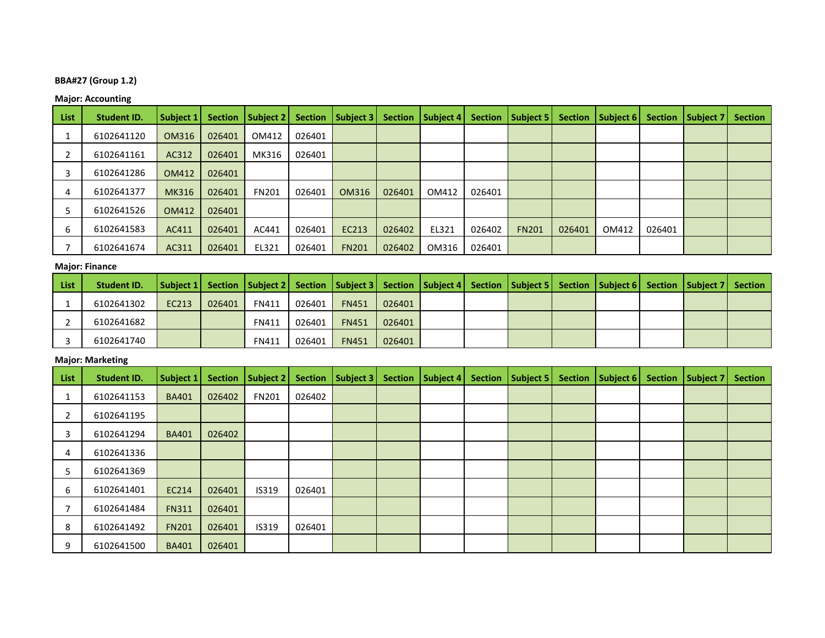# **BBA#27 (Group 1.2)**

# **Major: Accounting**

| List | <b>Student ID.</b> | <b>Subject 1</b> | <b>Section</b> | Subject 2    | <b>Section</b> | Subject 3    | <b>Section</b> | Subject 4 |        | Section   Subject 5 | <b>Section</b> | Subject 6 | <b>Section</b> | Subject 7 | <b>Section</b> |
|------|--------------------|------------------|----------------|--------------|----------------|--------------|----------------|-----------|--------|---------------------|----------------|-----------|----------------|-----------|----------------|
|      | 6102641120         | OM316            | 026401         | OM412        | 026401         |              |                |           |        |                     |                |           |                |           |                |
|      | 6102641161         | AC312            | 026401         | MK316        | 026401         |              |                |           |        |                     |                |           |                |           |                |
|      | 6102641286         | OM412            | 026401         |              |                |              |                |           |        |                     |                |           |                |           |                |
| 4    | 6102641377         | MK316            | 026401         | <b>FN201</b> | 026401         | OM316        | 026401         | OM412     | 026401 |                     |                |           |                |           |                |
|      | 6102641526         | OM412            | 026401         |              |                |              |                |           |        |                     |                |           |                |           |                |
| h    | 6102641583         | AC411            | 026401         | AC441        | 026401         | EC213        | 026402         | EL321     | 026402 | <b>FN201</b>        | 026401         | OM412     | 026401         |           |                |
|      | 6102641674         | AC311            | 026401         | EL321        | 026401         | <b>FN201</b> | 026402         | OM316     | 026401 |                     |                |           |                |           |                |

### **Major: Finance**

| l List | Student ID. | Subject 1 Section   Subject 2   Section   Subject 3   Section   Subject 4   Section   Subject 5   Section   Subject 6   Section   Subject 7   Section   Subject 7   Section   Subject 7   Section   Subject 7   Section   Subj |        |              |        |              |        |  |  |  |  |
|--------|-------------|--------------------------------------------------------------------------------------------------------------------------------------------------------------------------------------------------------------------------------|--------|--------------|--------|--------------|--------|--|--|--|--|
|        | 6102641302  | EC213                                                                                                                                                                                                                          | 026401 | <b>FN411</b> | 026401 | <b>FN451</b> | 026401 |  |  |  |  |
|        | 6102641682  |                                                                                                                                                                                                                                |        | <b>FN411</b> | 026401 | <b>FN451</b> | 026401 |  |  |  |  |
|        | 6102641740  |                                                                                                                                                                                                                                |        | <b>FN411</b> | 026401 | <b>FN451</b> | 026401 |  |  |  |  |

# **Major: Marketing**

| List | <b>Student ID.</b> | Subject 1    | <b>Section</b> | Subject 2    |        | Section   Subject 3 | <b>Section</b> | Subject 4 | Section   Subject 5 | <b>Section</b> | Subject 6 | Section   Subject 7 | <b>Section</b> |
|------|--------------------|--------------|----------------|--------------|--------|---------------------|----------------|-----------|---------------------|----------------|-----------|---------------------|----------------|
|      | 6102641153         | <b>BA401</b> | 026402         | <b>FN201</b> | 026402 |                     |                |           |                     |                |           |                     |                |
|      | 6102641195         |              |                |              |        |                     |                |           |                     |                |           |                     |                |
| 3    | 6102641294         | <b>BA401</b> | 026402         |              |        |                     |                |           |                     |                |           |                     |                |
| 4    | 6102641336         |              |                |              |        |                     |                |           |                     |                |           |                     |                |
| 5    | 6102641369         |              |                |              |        |                     |                |           |                     |                |           |                     |                |
| 6    | 6102641401         | EC214        | 026401         | <b>IS319</b> | 026401 |                     |                |           |                     |                |           |                     |                |
|      | 6102641484         | <b>FN311</b> | 026401         |              |        |                     |                |           |                     |                |           |                     |                |
| 8    | 6102641492         | <b>FN201</b> | 026401         | <b>IS319</b> | 026401 |                     |                |           |                     |                |           |                     |                |
| 9    | 6102641500         | <b>BA401</b> | 026401         |              |        |                     |                |           |                     |                |           |                     |                |